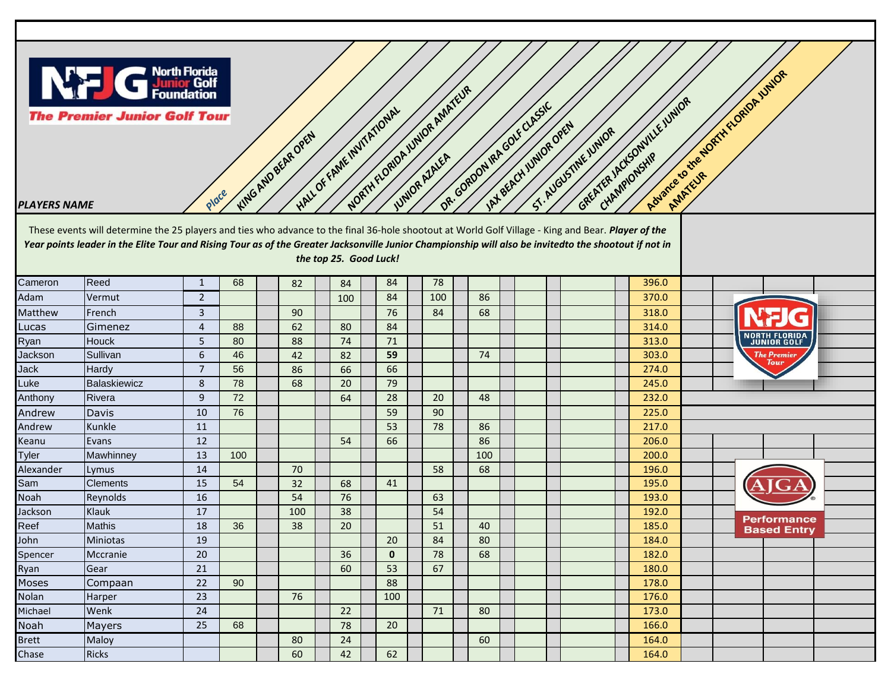

**The Premier Junior Golf Tour KING AND BEAR OPEN** 

## *PLAYERS NAME PLAYERS NAME*

**HALL OF FAME INVITATIONAL DR. GORDON IRA GOLF CLASSIC** These events will determine the 25 players and ties who advance to the final 36-hole shootout at World Golf Village - King and Bear. *Player of the Year points leader in the Elite Tour and Rising Tour as of the Greater Jacksonville Junior Championship will also be invitedto the shootout if not in the top 25. Good Luck!*

**NORTH FLORIDA JUNIOR ADAPTEUR** 

**JAX BEACH JUNIOR OPEN** 

*ST. AUGUSTINE JUNIOR*

GREATER JACKSONVILLE JUNIOR

**Advance to the North FLORIDA JUNIOR** 

| Cameron      | Reed            | $\mathbf{1}$   | 68  | 82  | 84  | 84           | 78  |     |  |  | 396.0 |  |                            |                    |  |  |
|--------------|-----------------|----------------|-----|-----|-----|--------------|-----|-----|--|--|-------|--|----------------------------|--------------------|--|--|
| Adam         | Vermut          | $\overline{2}$ |     |     | 100 | 84           | 100 | 86  |  |  | 370.0 |  |                            |                    |  |  |
| Matthew      | French          | 3              |     | 90  |     | 76           | 84  | 68  |  |  | 318.0 |  |                            |                    |  |  |
| Lucas        | Gimenez         | $\overline{4}$ | 88  | 62  | 80  | 84           |     |     |  |  | 314.0 |  |                            |                    |  |  |
| Ryan         | Houck           | 5.             | 80  | 88  | 74  | 71           |     |     |  |  | 313.0 |  | <b>NORTH FLORIDA</b>       |                    |  |  |
| Jackson      | Sullivan        | 6              | 46  | 42  | 82  | 59           |     | 74  |  |  | 303.0 |  | <b>The Premier</b><br>Tour |                    |  |  |
| Jack         | Hardy           | $\overline{7}$ | 56  | 86  | 66  | 66           |     |     |  |  | 274.0 |  |                            |                    |  |  |
| Luke         | Balaskiewicz    | 8              | 78  | 68  | 20  | 79           |     |     |  |  | 245.0 |  |                            |                    |  |  |
| Anthony      | Rivera          | 9              | 72  |     | 64  | 28           | 20  | 48  |  |  | 232.0 |  |                            |                    |  |  |
| Andrew       | Davis           | 10             | 76  |     |     | 59           | 90  |     |  |  | 225.0 |  |                            |                    |  |  |
| Andrew       | Kunkle          | 11             |     |     |     | 53           | 78  | 86  |  |  | 217.0 |  |                            |                    |  |  |
| Keanu        | Evans           | 12             |     |     | 54  | 66           |     | 86  |  |  | 206.0 |  |                            |                    |  |  |
| Tyler        | Mawhinney       | 13             | 100 |     |     |              |     | 100 |  |  | 200.0 |  |                            |                    |  |  |
| Alexander    | Lymus           | 14             |     | 70  |     |              | 58  | 68  |  |  | 196.0 |  |                            |                    |  |  |
| Sam          | <b>Clements</b> | 15             | 54  | 32  | 68  | 41           |     |     |  |  | 195.0 |  |                            |                    |  |  |
| Noah         | Reynolds        | 16             |     | 54  | 76  |              | 63  |     |  |  | 193.0 |  |                            |                    |  |  |
| Jackson      | Klauk           | 17             |     | 100 | 38  |              | 54  |     |  |  | 192.0 |  |                            | <b>Performance</b> |  |  |
| Reef         | <b>Mathis</b>   | 18             | 36  | 38  | 20  |              | 51  | 40  |  |  | 185.0 |  |                            | <b>Based Entry</b> |  |  |
| John         | Miniotas        | 19             |     |     |     | 20           | 84  | 80  |  |  | 184.0 |  |                            |                    |  |  |
| Spencer      | Mccranie        | 20             |     |     | 36  | $\mathbf{0}$ | 78  | 68  |  |  | 182.0 |  |                            |                    |  |  |
| Ryan         | Gear            | 21             |     |     | 60  | 53           | 67  |     |  |  | 180.0 |  |                            |                    |  |  |
| Moses        | Compaan         | 22             | 90  |     |     | 88           |     |     |  |  | 178.0 |  |                            |                    |  |  |
| Nolan        | Harper          | 23             |     | 76  |     | 100          |     |     |  |  | 176.0 |  |                            |                    |  |  |
| Michael      | Wenk            | 24             |     |     | 22  |              | 71  | 80  |  |  | 173.0 |  |                            |                    |  |  |
| Noah         | Mayers          | 25             | 68  |     | 78  | 20           |     |     |  |  | 166.0 |  |                            |                    |  |  |
| <b>Brett</b> | Maloy           |                |     | 80  | 24  |              |     | 60  |  |  | 164.0 |  |                            |                    |  |  |
| Chase        | <b>Ricks</b>    |                |     | 60  | 42  | 62           |     |     |  |  | 164.0 |  |                            |                    |  |  |
|              |                 |                |     |     |     |              |     |     |  |  |       |  |                            |                    |  |  |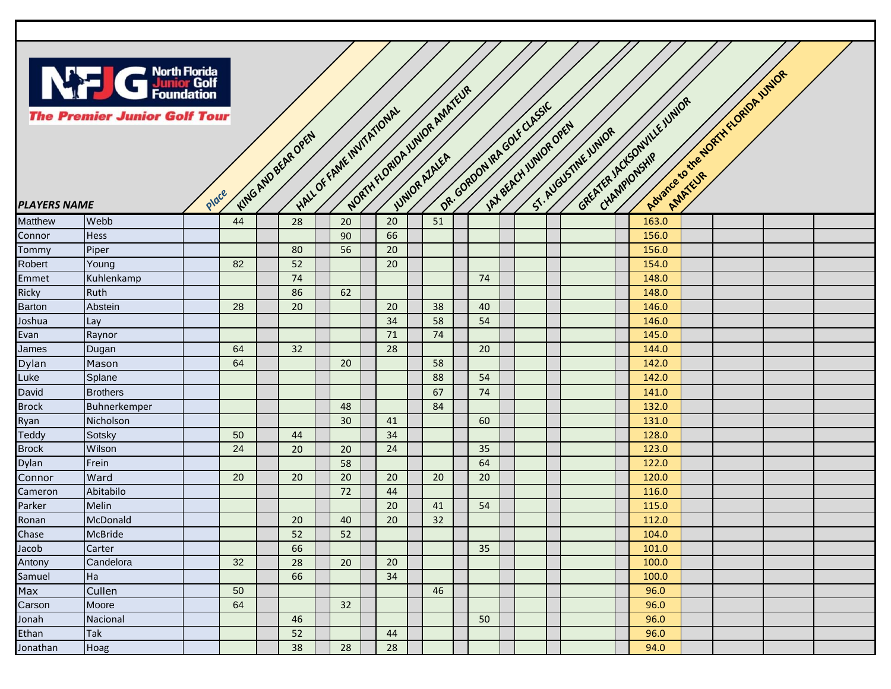

| <b>PLAYERS NAME</b> | <b>G</b> North Florida<br>Foundation<br><b>The Premier Junior Golf Tour</b> | Place |    | KING AND BEAR OPEN | HALL OF FAME INVITATIONAL |    | NORTH FLORIDA JUNIOR AMATEUR |    | DR. GORDON IRA GOVE CLASSIC<br>IAX BEACH UNIOR OPEN | GREATER IACKSONVILLE JUNIOR<br>ST. AUGUSTINE JUNIOR |       | Abuscie to the NORTH KLORIDA UNIOR |  |
|---------------------|-----------------------------------------------------------------------------|-------|----|--------------------|---------------------------|----|------------------------------|----|-----------------------------------------------------|-----------------------------------------------------|-------|------------------------------------|--|
| Matthew             | Webb                                                                        |       | 44 | 28                 | 20                        | 20 | 51                           |    |                                                     |                                                     | 163.0 |                                    |  |
| Connor              | <b>Hess</b>                                                                 |       |    |                    | 90                        | 66 |                              |    |                                                     |                                                     | 156.0 |                                    |  |
| Tommy               | Piper                                                                       |       |    | 80                 | 56                        | 20 |                              |    |                                                     |                                                     | 156.0 |                                    |  |
| Robert              | Young                                                                       |       | 82 | 52                 |                           | 20 |                              |    |                                                     |                                                     | 154.0 |                                    |  |
| Emmet               | Kuhlenkamp                                                                  |       |    | 74                 |                           |    |                              | 74 |                                                     |                                                     | 148.0 |                                    |  |
| Ricky               | Ruth                                                                        |       |    | 86                 | 62                        |    |                              |    |                                                     |                                                     | 148.0 |                                    |  |
| <b>Barton</b>       | Abstein                                                                     |       | 28 | 20                 |                           | 20 | 38                           | 40 |                                                     |                                                     | 146.0 |                                    |  |
| Joshua              | Lay                                                                         |       |    |                    |                           | 34 | 58                           | 54 |                                                     |                                                     | 146.0 |                                    |  |
| Evan                | Raynor                                                                      |       |    |                    |                           | 71 | 74                           |    |                                                     |                                                     | 145.0 |                                    |  |
| James               | Dugan                                                                       |       | 64 | 32                 |                           | 28 |                              | 20 |                                                     |                                                     | 144.0 |                                    |  |
| Dylan               | Mason                                                                       |       | 64 |                    | 20                        |    | 58                           |    |                                                     |                                                     | 142.0 |                                    |  |
| Luke                | Splane                                                                      |       |    |                    |                           |    | 88                           | 54 |                                                     |                                                     | 142.0 |                                    |  |
| David               | <b>Brothers</b>                                                             |       |    |                    |                           |    | 67                           | 74 |                                                     |                                                     | 141.0 |                                    |  |
| <b>Brock</b>        | Buhnerkemper                                                                |       |    |                    | 48                        |    | 84                           |    |                                                     |                                                     | 132.0 |                                    |  |
| Ryan                | Nicholson                                                                   |       |    |                    | 30                        | 41 |                              | 60 |                                                     |                                                     | 131.0 |                                    |  |
| Teddy               | Sotsky                                                                      |       | 50 | 44                 |                           | 34 |                              |    |                                                     |                                                     | 128.0 |                                    |  |
| <b>Brock</b>        | Wilson                                                                      |       | 24 | 20                 | 20                        | 24 |                              | 35 |                                                     |                                                     | 123.0 |                                    |  |
| Dylan               | Frein                                                                       |       |    |                    | 58                        |    |                              | 64 |                                                     |                                                     | 122.0 |                                    |  |
| Connor              | Ward                                                                        |       | 20 | 20                 | 20                        | 20 | 20                           | 20 |                                                     |                                                     | 120.0 |                                    |  |
| Cameron             | Abitabilo                                                                   |       |    |                    | 72                        | 44 |                              |    |                                                     |                                                     | 116.0 |                                    |  |
| Parker              | Melin                                                                       |       |    |                    |                           | 20 | 41                           | 54 |                                                     |                                                     | 115.0 |                                    |  |
| Ronan               | McDonald                                                                    |       |    | 20                 | 40                        | 20 | 32                           |    |                                                     |                                                     | 112.0 |                                    |  |
| Chase               | <b>McBride</b>                                                              |       |    | 52                 | 52                        |    |                              |    |                                                     |                                                     | 104.0 |                                    |  |
| Jacob               | Carter                                                                      |       |    | 66                 |                           |    |                              | 35 |                                                     |                                                     | 101.0 |                                    |  |
| Antony              | Candelora                                                                   |       | 32 | 28                 | 20                        | 20 |                              |    |                                                     |                                                     | 100.0 |                                    |  |
| Samuel              | Ha                                                                          |       |    | 66                 |                           | 34 |                              |    |                                                     |                                                     | 100.0 |                                    |  |
| Max                 | Cullen                                                                      |       | 50 |                    |                           |    | 46                           |    |                                                     |                                                     | 96.0  |                                    |  |
| Carson              | Moore                                                                       |       | 64 |                    | 32                        |    |                              |    |                                                     |                                                     | 96.0  |                                    |  |
| Jonah               | Nacional                                                                    |       |    | 46                 |                           |    |                              | 50 |                                                     |                                                     | 96.0  |                                    |  |
| Ethan               | <b>Tak</b>                                                                  |       |    | 52                 |                           | 44 |                              |    |                                                     |                                                     | 96.0  |                                    |  |
| Jonathan            | Hoag                                                                        |       |    | 38                 | 28                        | 28 |                              |    |                                                     |                                                     | 94.0  |                                    |  |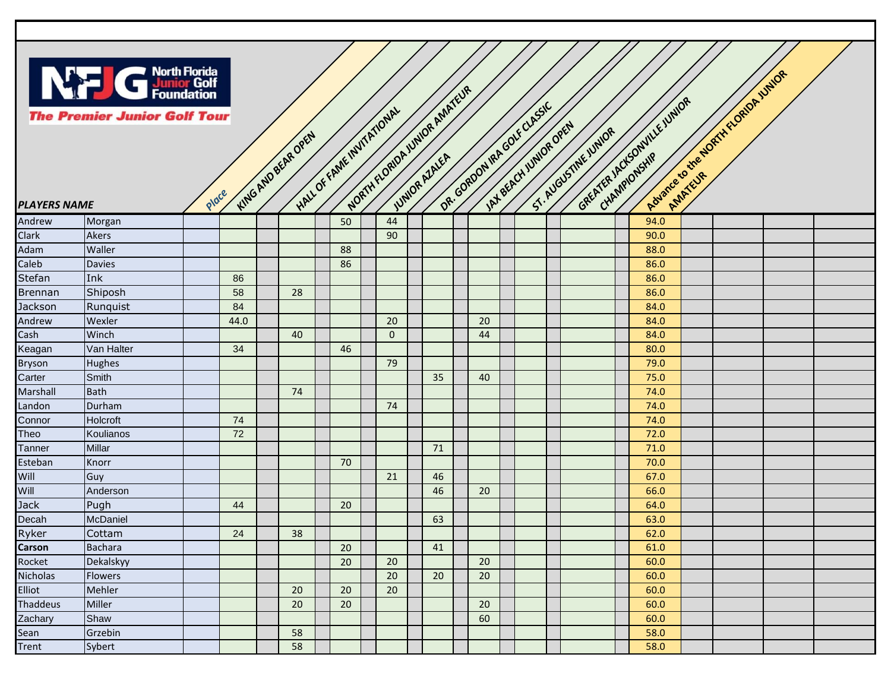

| <b>PLAYERS NAME</b> | <b>Superior Second</b><br>Superior Golf<br>Foundation<br><b>The Premier Junior Golf Tour</b> | Place |      | KING AND BEAR OPEN |    | NORTH FLORIDA JUNIOR AMATEUR<br>HALL OF FAME INVITATIONAL |    | DR. GORDON IRA GOVE CLASSIC | IAN BEACH UNIOR OPEN | GREATER IACHSONVILLE JUNIOR<br>ST. AUGUSTINE JUNIOR |      | Advance to the North Kloppe Vivior |  |
|---------------------|----------------------------------------------------------------------------------------------|-------|------|--------------------|----|-----------------------------------------------------------|----|-----------------------------|----------------------|-----------------------------------------------------|------|------------------------------------|--|
| Andrew              | Morgan                                                                                       |       |      |                    | 50 | 44                                                        |    |                             |                      |                                                     | 94.0 |                                    |  |
| Clark               | <b>Akers</b>                                                                                 |       |      |                    |    | 90                                                        |    |                             |                      |                                                     | 90.0 |                                    |  |
| Adam                | Waller                                                                                       |       |      |                    | 88 |                                                           |    |                             |                      |                                                     | 88.0 |                                    |  |
| Caleb               | <b>Davies</b>                                                                                |       |      |                    | 86 |                                                           |    |                             |                      |                                                     | 86.0 |                                    |  |
| Stefan              | Ink                                                                                          |       | 86   |                    |    |                                                           |    |                             |                      |                                                     | 86.0 |                                    |  |
| <b>Brennan</b>      | Shiposh                                                                                      |       | 58   | 28                 |    |                                                           |    |                             |                      |                                                     | 86.0 |                                    |  |
| Jackson             | Runquist                                                                                     |       | 84   |                    |    |                                                           |    |                             |                      |                                                     | 84.0 |                                    |  |
| Andrew              | Wexler                                                                                       |       | 44.0 |                    |    | 20                                                        |    | 20                          |                      |                                                     | 84.0 |                                    |  |
| Cash                | Winch                                                                                        |       |      | 40                 |    | $\mathbf{0}$                                              |    | 44                          |                      |                                                     | 84.0 |                                    |  |
| Keagan              | Van Halter                                                                                   |       | 34   |                    | 46 |                                                           |    |                             |                      |                                                     | 80.0 |                                    |  |
| <b>Bryson</b>       | <b>Hughes</b>                                                                                |       |      |                    |    | 79                                                        |    |                             |                      |                                                     | 79.0 |                                    |  |
| Carter              | Smith                                                                                        |       |      |                    |    |                                                           | 35 | 40                          |                      |                                                     | 75.0 |                                    |  |
| Marshall            | <b>Bath</b>                                                                                  |       |      | 74                 |    |                                                           |    |                             |                      |                                                     | 74.0 |                                    |  |
| Landon              | Durham                                                                                       |       |      |                    |    | 74                                                        |    |                             |                      |                                                     | 74.0 |                                    |  |
| Connor              | Holcroft                                                                                     |       | 74   |                    |    |                                                           |    |                             |                      |                                                     | 74.0 |                                    |  |
| Theo                | Koulianos                                                                                    |       | 72   |                    |    |                                                           |    |                             |                      |                                                     | 72.0 |                                    |  |
| Tanner              | Millar                                                                                       |       |      |                    |    |                                                           | 71 |                             |                      |                                                     | 71.0 |                                    |  |
| Esteban             | Knorr                                                                                        |       |      |                    | 70 |                                                           |    |                             |                      |                                                     | 70.0 |                                    |  |
| Will                | Guy                                                                                          |       |      |                    |    | 21                                                        | 46 |                             |                      |                                                     | 67.0 |                                    |  |
| Will                | Anderson                                                                                     |       |      |                    |    |                                                           | 46 | 20                          |                      |                                                     | 66.0 |                                    |  |
| <b>Jack</b>         | Pugh                                                                                         |       | 44   |                    | 20 |                                                           |    |                             |                      |                                                     | 64.0 |                                    |  |
| Decah               | McDaniel                                                                                     |       |      |                    |    |                                                           | 63 |                             |                      |                                                     | 63.0 |                                    |  |
| Ryker               | Cottam                                                                                       |       | 24   | 38                 |    |                                                           |    |                             |                      |                                                     | 62.0 |                                    |  |
| Carson              | <b>Bachara</b>                                                                               |       |      |                    | 20 |                                                           | 41 |                             |                      |                                                     | 61.0 |                                    |  |
| Rocket              | Dekalskyy                                                                                    |       |      |                    | 20 | 20                                                        |    | 20                          |                      |                                                     | 60.0 |                                    |  |
| Nicholas            | Flowers                                                                                      |       |      |                    |    | 20                                                        | 20 | 20                          |                      |                                                     | 60.0 |                                    |  |
| Elliot              | Mehler                                                                                       |       |      | 20                 | 20 | 20                                                        |    |                             |                      |                                                     | 60.0 |                                    |  |
| Thaddeus            | Miller                                                                                       |       |      | 20                 | 20 |                                                           |    | 20                          |                      |                                                     | 60.0 |                                    |  |
| Zachary             | Shaw                                                                                         |       |      |                    |    |                                                           |    | 60                          |                      |                                                     | 60.0 |                                    |  |
| Sean                | Grzebin                                                                                      |       |      | 58                 |    |                                                           |    |                             |                      |                                                     | 58.0 |                                    |  |
| Trent               | Sybert                                                                                       |       |      | 58                 |    |                                                           |    |                             |                      |                                                     | 58.0 |                                    |  |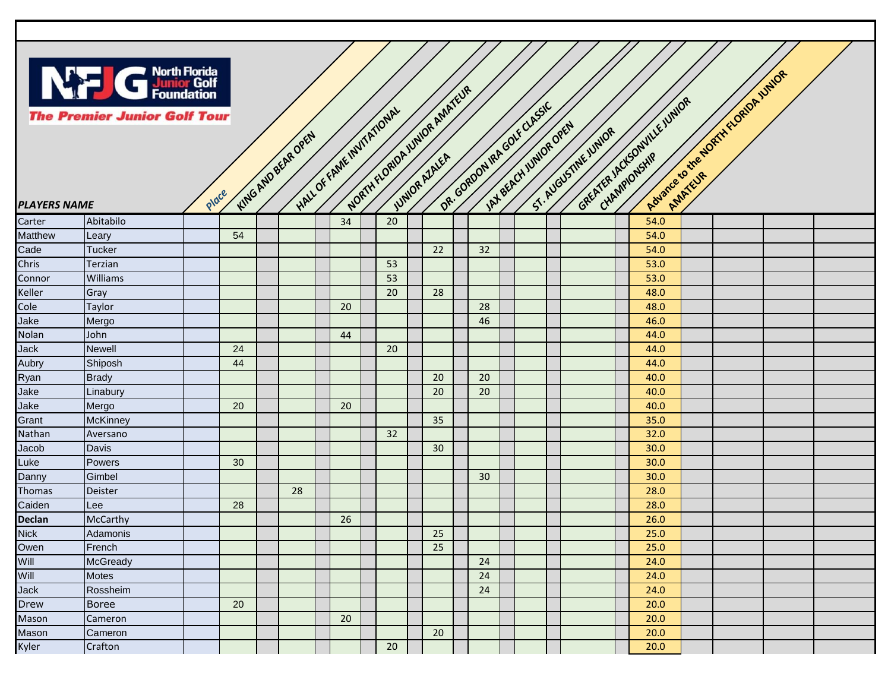

| <b>PLAYERS NAME</b> | North Florida<br>Punior Golf<br>Foundation<br><b>The Premier Junior Golf Tour</b> | Place |    | KING AND BEAR OPEN |    | HALL OF FAME INVITATIONAL | NORTH FLORIDA JUNIOR AMATEUR | DR. GORDON IRA GOVE CLASSIC | INT BEACH UNIOR OPEN | GREATER IACHSONVILLE JUNIOR<br>ST. AUGUSTINE JUNIOR | Rouance to the NORTH ELORDP VINOR |  |  |
|---------------------|-----------------------------------------------------------------------------------|-------|----|--------------------|----|---------------------------|------------------------------|-----------------------------|----------------------|-----------------------------------------------------|-----------------------------------|--|--|
| Carter              | Abitabilo                                                                         |       |    |                    | 34 | 20                        |                              |                             |                      |                                                     | 54.0                              |  |  |
| Matthew             | Leary                                                                             |       | 54 |                    |    |                           |                              |                             |                      |                                                     | 54.0                              |  |  |
| Cade                | <b>Tucker</b>                                                                     |       |    |                    |    |                           | 22                           | 32                          |                      |                                                     | 54.0                              |  |  |
| Chris               | Terzian                                                                           |       |    |                    |    | 53                        |                              |                             |                      |                                                     | 53.0                              |  |  |
| Connor              | <b>Williams</b>                                                                   |       |    |                    |    | 53                        |                              |                             |                      |                                                     | 53.0                              |  |  |
| Keller              | Gray                                                                              |       |    |                    |    | 20                        | 28                           |                             |                      |                                                     | 48.0                              |  |  |
| Cole                | <b>Taylor</b>                                                                     |       |    |                    | 20 |                           |                              | 28                          |                      |                                                     | 48.0                              |  |  |
| Jake                | Mergo                                                                             |       |    |                    |    |                           |                              | 46                          |                      |                                                     | 46.0                              |  |  |
| Nolan               | John                                                                              |       |    |                    | 44 |                           |                              |                             |                      |                                                     | 44.0                              |  |  |
| Jack                | <b>Newell</b>                                                                     |       | 24 |                    |    | 20                        |                              |                             |                      |                                                     | 44.0                              |  |  |
| Aubry               | Shiposh                                                                           |       | 44 |                    |    |                           |                              |                             |                      |                                                     | 44.0                              |  |  |
| Ryan                | <b>Brady</b>                                                                      |       |    |                    |    |                           | 20                           | 20                          |                      |                                                     | 40.0                              |  |  |
| Jake                | Linabury                                                                          |       |    |                    |    |                           | 20                           | 20                          |                      |                                                     | 40.0                              |  |  |
| Jake                | Mergo                                                                             |       | 20 |                    | 20 |                           |                              |                             |                      |                                                     | 40.0                              |  |  |
| Grant               | <b>McKinney</b>                                                                   |       |    |                    |    |                           | 35                           |                             |                      |                                                     | 35.0                              |  |  |
| Nathan              | Aversano                                                                          |       |    |                    |    | 32                        |                              |                             |                      |                                                     | 32.0                              |  |  |
| Jacob               | Davis                                                                             |       |    |                    |    |                           | 30                           |                             |                      |                                                     | 30.0                              |  |  |
| Luke                | Powers                                                                            |       | 30 |                    |    |                           |                              |                             |                      |                                                     | 30.0                              |  |  |
| Danny               | Gimbel                                                                            |       |    |                    |    |                           |                              | 30                          |                      |                                                     | 30.0                              |  |  |
| <b>Thomas</b>       | <b>Deister</b>                                                                    |       |    | 28                 |    |                           |                              |                             |                      |                                                     | 28.0                              |  |  |
| Caiden              | Lee                                                                               |       | 28 |                    |    |                           |                              |                             |                      |                                                     | 28.0                              |  |  |
| <b>Declan</b>       | McCarthy                                                                          |       |    |                    | 26 |                           |                              |                             |                      |                                                     | 26.0                              |  |  |
| <b>Nick</b>         | Adamonis                                                                          |       |    |                    |    |                           | 25                           |                             |                      |                                                     | 25.0                              |  |  |
| Owen                | French                                                                            |       |    |                    |    |                           | 25                           |                             |                      |                                                     | 25.0                              |  |  |
| Will                | McGready                                                                          |       |    |                    |    |                           |                              | 24                          |                      |                                                     | 24.0                              |  |  |
| Will                | Motes                                                                             |       |    |                    |    |                           |                              | 24                          |                      |                                                     | 24.0                              |  |  |
| Jack                | Rossheim                                                                          |       |    |                    |    |                           |                              | 24                          |                      |                                                     | 24.0                              |  |  |
| Drew                | <b>Boree</b>                                                                      |       | 20 |                    |    |                           |                              |                             |                      |                                                     | 20.0                              |  |  |
| Mason               | Cameron                                                                           |       |    |                    | 20 |                           |                              |                             |                      |                                                     | 20.0                              |  |  |
| Mason               | Cameron                                                                           |       |    |                    |    |                           | 20                           |                             |                      |                                                     | 20.0                              |  |  |
| Kyler               | Crafton                                                                           |       |    |                    |    | 20                        |                              |                             |                      |                                                     | 20.0                              |  |  |